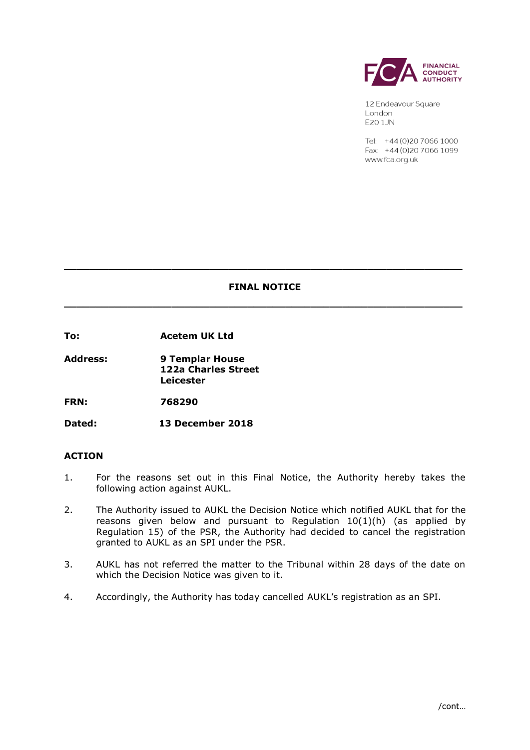

12 Endeavour Square London **E20 1JN** 

Tel: +44 (0) 20 7066 1000 Fax: +44 (0) 20 7066 1099 www.fca.org.uk

# **FINAL NOTICE**

**\_\_\_\_\_\_\_\_\_\_\_\_\_\_\_\_\_\_\_\_\_\_\_\_\_\_\_\_\_\_\_\_\_\_\_\_\_\_\_\_\_\_\_\_\_\_\_\_\_\_\_\_\_\_\_\_\_\_\_\_\_\_\_**

**\_\_\_\_\_\_\_\_\_\_\_\_\_\_\_\_\_\_\_\_\_\_\_\_\_\_\_\_\_\_\_\_\_\_\_\_\_\_\_\_\_\_\_\_\_\_\_\_\_\_\_\_\_\_\_\_\_\_\_\_\_\_\_**

**To: Acetem UK Ltd**

**Address: 9 Templar House 122a Charles Street Leicester** 

**FRN: 768290**

**Dated: 13 December 2018**

# **ACTION**

- 1. For the reasons set out in this Final Notice, the Authority hereby takes the following action against AUKL.
- 2. The Authority issued to AUKL the Decision Notice which notified AUKL that for the reasons given below and pursuant to Regulation  $10(1)(h)$  (as applied by Regulation 15) of the PSR, the Authority had decided to cancel the registration granted to AUKL as an SPI under the PSR.
- 3. AUKL has not referred the matter to the Tribunal within 28 days of the date on which the Decision Notice was given to it.
- 4. Accordingly, the Authority has today cancelled AUKL's registration as an SPI.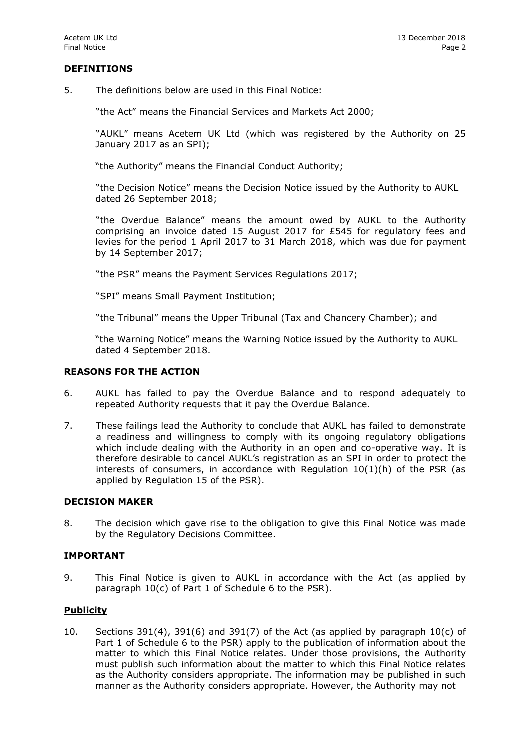## **DEFINITIONS**

5. The definitions below are used in this Final Notice:

"the Act" means the Financial Services and Markets Act 2000;

"AUKL" means Acetem UK Ltd (which was registered by the Authority on 25 January 2017 as an SPI);

"the Authority" means the Financial Conduct Authority;

"the Decision Notice" means the Decision Notice issued by the Authority to AUKL dated 26 September 2018;

"the Overdue Balance" means the amount owed by AUKL to the Authority comprising an invoice dated 15 August 2017 for £545 for regulatory fees and levies for the period 1 April 2017 to 31 March 2018, which was due for payment by 14 September 2017;

"the PSR" means the Payment Services Regulations 2017;

"SPI" means Small Payment Institution;

"the Tribunal" means the Upper Tribunal (Tax and Chancery Chamber); and

"the Warning Notice" means the Warning Notice issued by the Authority to AUKL dated 4 September 2018.

#### **REASONS FOR THE ACTION**

- 6. AUKL has failed to pay the Overdue Balance and to respond adequately to repeated Authority requests that it pay the Overdue Balance.
- 7. These failings lead the Authority to conclude that AUKL has failed to demonstrate a readiness and willingness to comply with its ongoing regulatory obligations which include dealing with the Authority in an open and co-operative way. It is therefore desirable to cancel AUKL's registration as an SPI in order to protect the interests of consumers, in accordance with Regulation  $10(1)(h)$  of the PSR (as applied by Regulation 15 of the PSR).

### **DECISION MAKER**

8. The decision which gave rise to the obligation to give this Final Notice was made by the Regulatory Decisions Committee.

#### **IMPORTANT**

9. This Final Notice is given to AUKL in accordance with the Act (as applied by paragraph 10(c) of Part 1 of Schedule 6 to the PSR).

## **Publicity**

10. Sections 391(4), 391(6) and 391(7) of the Act (as applied by paragraph  $10(c)$  of Part 1 of Schedule 6 to the PSR) apply to the publication of information about the matter to which this Final Notice relates. Under those provisions, the Authority must publish such information about the matter to which this Final Notice relates as the Authority considers appropriate. The information may be published in such manner as the Authority considers appropriate. However, the Authority may not